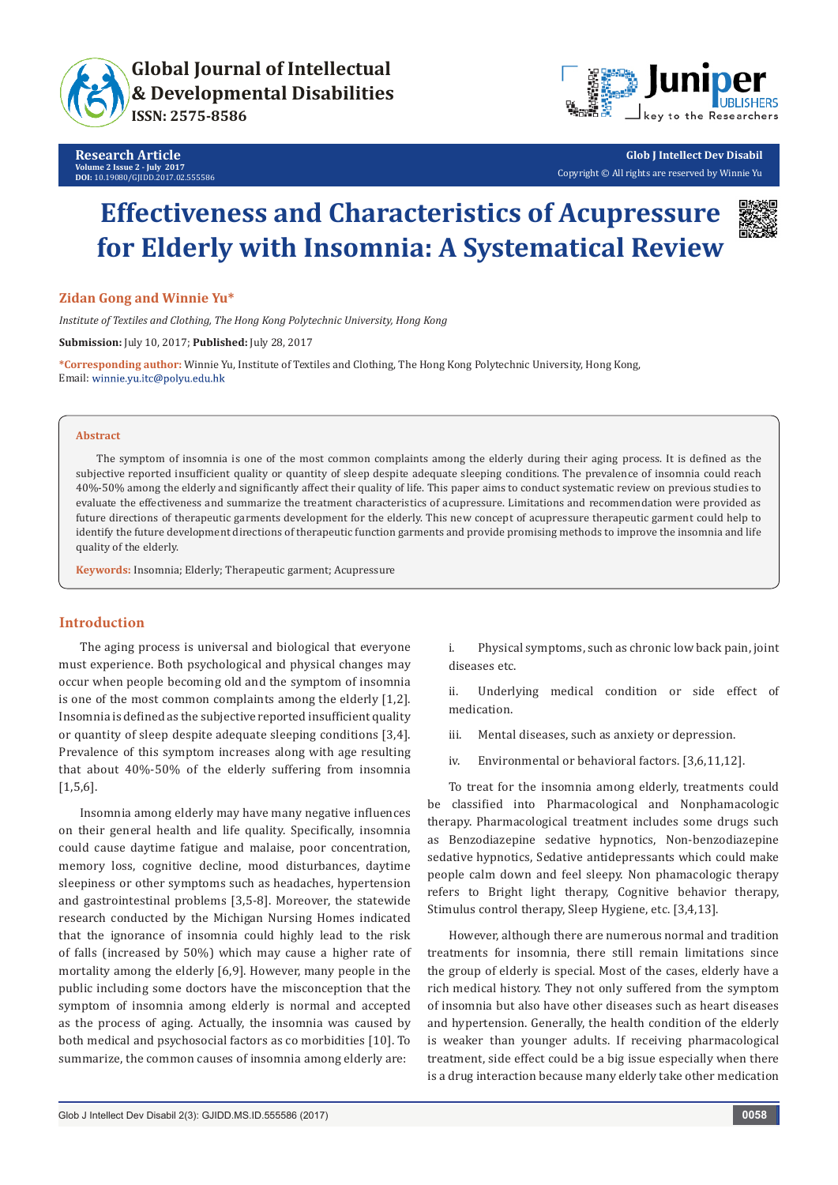



**Glob J Intellect Dev Disabil** Copyright © All rights are reserved by Winnie Yu

# **Effectiveness and Characteristics of Acupressure for Elderly with Insomnia: A Systematical Review**



### **Zidan Gong and Winnie Yu\***

*Institute of Textiles and Clothing, The Hong Kong Polytechnic University, Hong Kong*

**Submission:** July 10, 2017; **Published:** July 28, 2017

**\*Corresponding author:** Winnie Yu, Institute of Textiles and Clothing, The Hong Kong Polytechnic University, Hong Kong, Email: winnie.yu.itc@polyu.edu.hk

#### **Abstract**

The symptom of insomnia is one of the most common complaints among the elderly during their aging process. It is defined as the subjective reported insufficient quality or quantity of sleep despite adequate sleeping conditions. The prevalence of insomnia could reach 40%-50% among the elderly and significantly affect their quality of life. This paper aims to conduct systematic review on previous studies to evaluate the effectiveness and summarize the treatment characteristics of acupressure. Limitations and recommendation were provided as future directions of therapeutic garments development for the elderly. This new concept of acupressure therapeutic garment could help to identify the future development directions of therapeutic function garments and provide promising methods to improve the insomnia and life quality of the elderly.

**Keywords:** Insomnia; Elderly; Therapeutic garment; Acupressure

# **Introduction**

The aging process is universal and biological that everyone must experience. Both psychological and physical changes may occur when people becoming old and the symptom of insomnia is one of the most common complaints among the elderly [1,2]. Insomnia is defined as the subjective reported insufficient quality or quantity of sleep despite adequate sleeping conditions [3,4]. Prevalence of this symptom increases along with age resulting that about 40%-50% of the elderly suffering from insomnia [1,5,6].

Insomnia among elderly may have many negative influences on their general health and life quality. Specifically, insomnia could cause daytime fatigue and malaise, poor concentration, memory loss, cognitive decline, mood disturbances, daytime sleepiness or other symptoms such as headaches, hypertension and gastrointestinal problems [3,5-8]. Moreover, the statewide research conducted by the Michigan Nursing Homes indicated that the ignorance of insomnia could highly lead to the risk of falls (increased by 50%) which may cause a higher rate of mortality among the elderly [6,9]. However, many people in the public including some doctors have the misconception that the symptom of insomnia among elderly is normal and accepted as the process of aging. Actually, the insomnia was caused by both medical and psychosocial factors as co morbidities [10]. To summarize, the common causes of insomnia among elderly are:

i. Physical symptoms, such as chronic low back pain, joint diseases etc.

ii. Underlying medical condition or side effect of medication.

- iii. Mental diseases, such as anxiety or depression.
- iv. Environmental or behavioral factors. [3,6,11,12].

To treat for the insomnia among elderly, treatments could be classified into Pharmacological and Nonphamacologic therapy. Pharmacological treatment includes some drugs such as Benzodiazepine sedative hypnotics, Non-benzodiazepine sedative hypnotics, Sedative antidepressants which could make people calm down and feel sleepy. Non phamacologic therapy refers to Bright light therapy, Cognitive behavior therapy, Stimulus control therapy, Sleep Hygiene, etc. [3,4,13].

However, although there are numerous normal and tradition treatments for insomnia, there still remain limitations since the group of elderly is special. Most of the cases, elderly have a rich medical history. They not only suffered from the symptom of insomnia but also have other diseases such as heart diseases and hypertension. Generally, the health condition of the elderly is weaker than younger adults. If receiving pharmacological treatment, side effect could be a big issue especially when there is a drug interaction because many elderly take other medication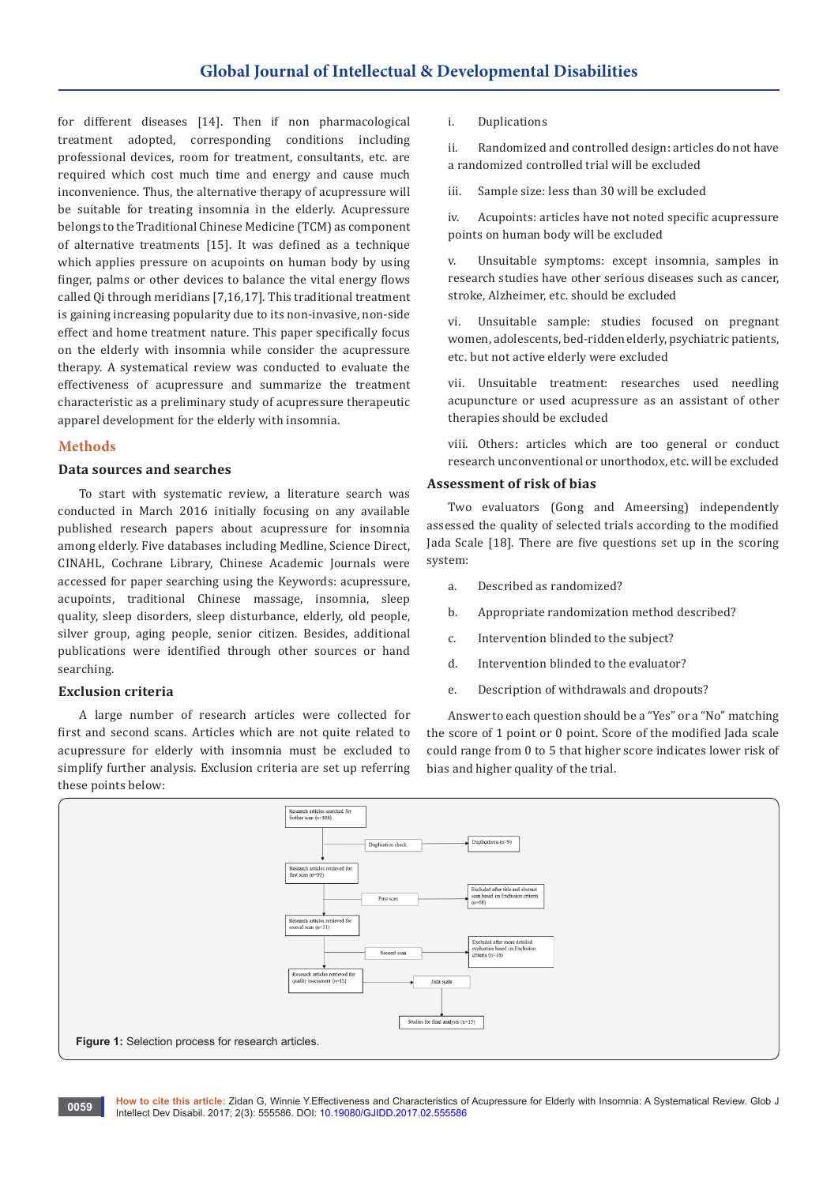for different diseases [14]. Then if non pharmacological treatment adopted, corresponding conditions including professional devices, room for treatment, consultants, etc. are required which cost much time and energy and cause much inconvenience. Thus, the alternative therapy of acupressure will be suitable for treating insomnia in the elderly. Acupressure belongs to the Traditional Chinese Medicine (TCM) as component of alternative treatments [15]. It was defined as a technique which applies pressure on acupoints on human body by using finger, palms or other devices to balance the vital energy flows called Qi through meridians [7,16,17]. This traditional treatment is gaining increasing popularity due to its non-invasive, non-side effect and home treatment nature. This paper specifically focus on the elderly with insomnia while consider the acupressure therapy. A systematical review was conducted to evaluate the effectiveness of acupressure and summarize the treatment characteristic as a preliminary study of acupressure therapeutic apparel development for the elderly with insomnia.

# **Methods**

# **Data sources and searches**

To start with systematic review, a literature search was conducted in March 2016 initially focusing on any available published research papers about acupressure for insomnia among elderly. Five databases including Medline, Science Direct, CINAHL, Cochrane Library, Chinese Academic Journals were accessed for paper searching using the Keywords: acupressure, acupoints, traditional Chinese massage, insomnia, sleep quality, sleep disorders, sleep disturbance, elderly, old people, silver group, aging people, senior citizen. Besides, additional publications were identified through other sources or hand searching.

### **Exclusion criteria**

A large number of research articles were collected for first and second scans. Articles which are not quite related to acupressure for elderly with insomnia must be excluded to simplify further analysis. Exclusion criteria are set up referring these points below:

i. Duplications

ii. Randomized and controlled design: articles do not have a randomized controlled trial will be excluded

iii. Sample size: less than 30 will be excluded

iv. Acupoints: articles have not noted specific acupressure points on human body will be excluded

v. Unsuitable symptoms: except insomnia, samples in research studies have other serious diseases such as cancer, stroke, Alzheimer, etc. should be excluded

vi. Unsuitable sample: studies focused on pregnant women, adolescents, bed-ridden elderly, psychiatric patients, etc. but not active elderly were excluded

vii. Unsuitable treatment: researches used needling acupuncture or used acupressure as an assistant of other therapies should be excluded

viii. Others: articles which are too general or conduct research unconventional or unorthodox, etc. will be excluded

# **Assessment of risk of bias**

Two evaluators (Gong and Ameersing) independently assessed the quality of selected trials according to the modified Jada Scale [18]. There are five questions set up in the scoring system:

- a. Described as randomized?
- b. Appropriate randomization method described?
- c. Intervention blinded to the subject?
- d. Intervention blinded to the evaluator?
- e. Description of withdrawals and dropouts?

Answer to each question should be a "Yes" or a "No" matching the score of 1 point or 0 point. Score of the modified Jada scale could range from 0 to 5 that higher score indicates lower risk of bias and higher quality of the trial.

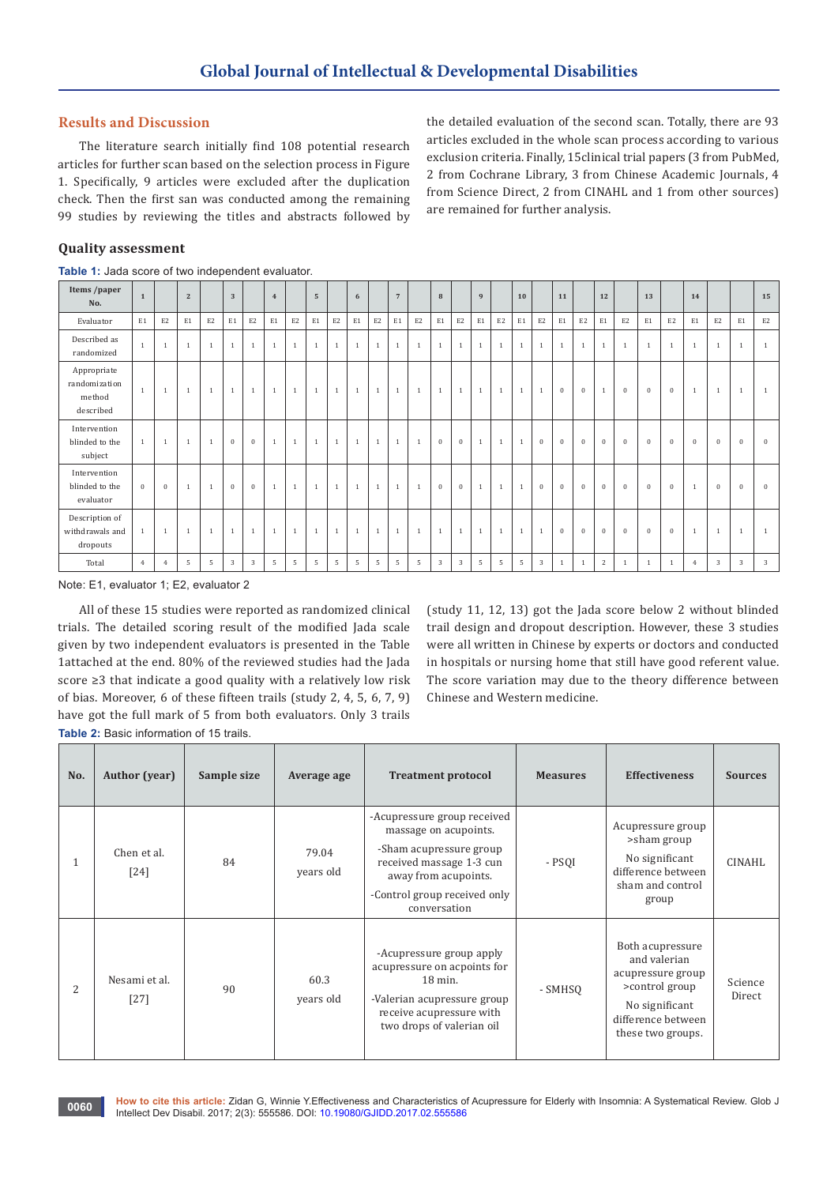# **Results and Discussion**

The literature search initially find 108 potential research articles for further scan based on the selection process in Figure 1. Specifically, 9 articles were excluded after the duplication check. Then the first san was conducted among the remaining 99 studies by reviewing the titles and abstracts followed by

the detailed evaluation of the second scan. Totally, there are 93 articles excluded in the whole scan process according to various exclusion criteria. Finally, 15clinical trial papers (3 from PubMed, 2 from Cochrane Library, 3 from Chinese Academic Journals, 4 from Science Direct, 2 from CINAHL and 1 from other sources) are remained for further analysis.

### **Quality assessment**

| Items /paper<br>No.                                 | 1              |                | $\overline{2}$ |                | 3            |                | $\overline{4}$ |                | 5            |                | 6            |                | $7\overline{ }$ |                | 8              |                | 9            |                | 10           |                | 11           |                | 12             |                | 13           |                | 14             |                |              | 15             |
|-----------------------------------------------------|----------------|----------------|----------------|----------------|--------------|----------------|----------------|----------------|--------------|----------------|--------------|----------------|-----------------|----------------|----------------|----------------|--------------|----------------|--------------|----------------|--------------|----------------|----------------|----------------|--------------|----------------|----------------|----------------|--------------|----------------|
| Evaluator                                           | E1             | E <sub>2</sub> | E <sub>1</sub> | E <sub>2</sub> | E1           | E <sub>2</sub> | E1             | E <sub>2</sub> | E1           | E <sub>2</sub> | E1           | E <sub>2</sub> | E1              | E <sub>2</sub> | E <sub>1</sub> | E <sub>2</sub> | E1           | E <sub>2</sub> | E1           | E <sub>2</sub> | E1           | E <sub>2</sub> | E <sub>1</sub> | E <sub>2</sub> | E1           | E <sub>2</sub> | E <sub>1</sub> | E <sub>2</sub> | E1           | E <sub>2</sub> |
| Described as<br>randomized                          | $\overline{1}$ | $\mathbf{1}$   | $\mathbf{1}$   | $\overline{1}$ | $\mathbf{1}$ | $\mathbf{1}$   | $\mathbf{1}$   | $\mathbf{1}$   | $\mathbf{1}$ | $\mathbf{1}$   | $\mathbf{1}$ | <sup>1</sup>   | $\mathbf{1}$    | $\overline{1}$ | <sup>1</sup>   | $\mathbf{1}$   | $\mathbf{1}$ | $\overline{1}$ | $\mathbf{1}$ | $\mathbf{1}$   | $\mathbf{1}$ | <sup>1</sup>   | $\mathbf{1}$   | $\mathbf{1}$   | $\mathbf{1}$ | $\mathbf{1}$   | $\mathbf{1}$   | <sup>1</sup>   | $\mathbf{1}$ | <sup>1</sup>   |
| Appropriate<br>randomization<br>method<br>described | 1              | $\overline{1}$ | 1              | $\mathbf{1}$   | 1            | 1              | $\mathbf{1}$   | -1             | -1           | <sup>1</sup>   | $\mathbf{1}$ | $\mathbf{1}$   | 1               | $\mathbf{1}$   | <sup>1</sup>   | 1              | -1           | -1             | <sup>1</sup> | $\mathbf{1}$   | $\mathbf{0}$ | $\overline{0}$ | 1              | $\mathbf{0}$   | $\mathbf{0}$ | $\mathbf{0}$   | <sup>1</sup>   | -1             | 1            | <sup>1</sup>   |
| Intervention<br>blinded to the<br>subject           | $\mathbf{1}$   | $\mathbf{1}$   | $\mathbf{1}$   | $\mathbf{1}$   | $\mathbf{0}$ | $\mathbf{0}$   | $\mathbf{1}$   | 1              | $\mathbf{1}$ | $\mathbf{1}$   | $\mathbf{1}$ | $\mathbf{1}$   | $\mathbf{1}$    | $\mathbf{1}$   | $\mathbf{0}$   | $\mathbf{0}$   | $\mathbf{1}$ | $\overline{1}$ | $\mathbf{1}$ | $\mathbf{0}$   | $\mathbf{0}$ | $\mathbf{0}$   | $\mathbf{0}$   | $\mathbf{0}$   | $\mathbf{0}$ | $\mathbf{0}$   | $\mathbf{0}$   | $\mathbf{0}$   | $\mathbf{0}$ | $\overline{0}$ |
| Intervention<br>blinded to the<br>evaluator         | $\mathbf{0}$   | $\mathbf{0}$   | <sup>1</sup>   | $\mathbf{1}$   | $\mathbf{0}$ | $\mathbf{0}$   | $\mathbf{1}$   | 1              | $\mathbf{1}$ | $\mathbf{1}$   | $\mathbf{1}$ | $\mathbf{1}$   | $\mathbf{1}$    | $\mathbf{1}$   | $\mathbf{0}$   | $\mathbf{0}$   | $\mathbf{1}$ | $\overline{1}$ | $\mathbf{1}$ | $\mathbf{0}$   | $\mathbf{0}$ | $\mathbf{0}$   | $\mathbf{0}$   | $\mathbf{0}$   | $\mathbf{0}$ | $\mathbf{0}$   | <sup>1</sup>   | $\mathbf{0}$   | $\mathbf{0}$ | $\overline{0}$ |
| Description of<br>withdrawals and<br>dropouts       |                | $\overline{1}$ | <sup>1</sup>   | $\mathbf{1}$   | $\mathbf{1}$ | $\mathbf{1}$   | $\mathbf{1}$   | <sup>1</sup>   | <sup>1</sup> | $\mathbf{1}$   | $\mathbf{1}$ | $\mathbf{1}$   | $\mathbf{1}$    | $\mathbf{1}$   | 1              | $\mathbf{1}$   | $\mathbf{1}$ | <sup>1</sup>   | $\mathbf{1}$ | $\mathbf{1}$   | $\mathbf{0}$ | $\mathbf{0}$   | $\mathbf{0}$   | $\mathbf{0}$   | $\mathbf{0}$ | $\mathbf{0}$   | $\mathbf{1}$   | <sup>1</sup>   | 1            | <sup>1</sup>   |
| Total                                               | $\overline{4}$ | $\overline{4}$ | 5              | 5              | 3            | $\overline{3}$ | 5              | 5              | 5            | 5              | 5            | 5              | 5               | 5              | 3              | 3              | 5            | 5              | 5            | $\overline{3}$ | 1            | -1             | 2              | $\mathbf{1}$   | 1            | 1              | $\overline{4}$ | 3              | 3            | 3              |

**Table 1:** Jada score of two independent evaluator.

Note: E1, evaluator 1; E2, evaluator 2

All of these 15 studies were reported as randomized clinical trials. The detailed scoring result of the modified Jada scale given by two independent evaluators is presented in the Table 1attached at the end. 80% of the reviewed studies had the Jada score ≥3 that indicate a good quality with a relatively low risk of bias. Moreover, 6 of these fifteen trails (study 2, 4, 5, 6, 7, 9) have got the full mark of 5 from both evaluators. Only 3 trails **Table 2:** Basic information of 15 trails.

(study 11, 12, 13) got the Jada score below 2 without blinded trail design and dropout description. However, these 3 studies were all written in Chinese by experts or doctors and conducted in hospitals or nursing home that still have good referent value. The score variation may due to the theory difference between Chinese and Western medicine.

| No. | Author (year)           | Sample size                          | Average age        | <b>Treatment protocol</b>                                                                                                                                                           | <b>Measures</b> | <b>Effectiveness</b>                                                                                                                 | <b>Sources</b>    |
|-----|-------------------------|--------------------------------------|--------------------|-------------------------------------------------------------------------------------------------------------------------------------------------------------------------------------|-----------------|--------------------------------------------------------------------------------------------------------------------------------------|-------------------|
|     | Chen et al.<br>$[24]$   | 84                                   | 79.04<br>years old | -Acupressure group received<br>massage on acupoints.<br>-Sham acupressure group<br>received massage 1-3 cun<br>away from acupoints.<br>-Control group received only<br>conversation | - PSQI          | Acupressure group<br>>sham group<br>No significant<br>difference between<br>sham and control<br>group                                | CINAHL            |
| 2   | Nesami et al.<br>$[27]$ | 60.3<br>$18$ min.<br>90<br>years old |                    | -Acupressure group apply<br>acupressure on acpoints for<br>-Valerian acupressure group<br>receive acupressure with<br>two drops of valerian oil                                     | - SMHSQ         | Both acupressure<br>and valerian<br>acupressure group<br>>control group<br>No significant<br>difference between<br>these two groups. | Science<br>Direct |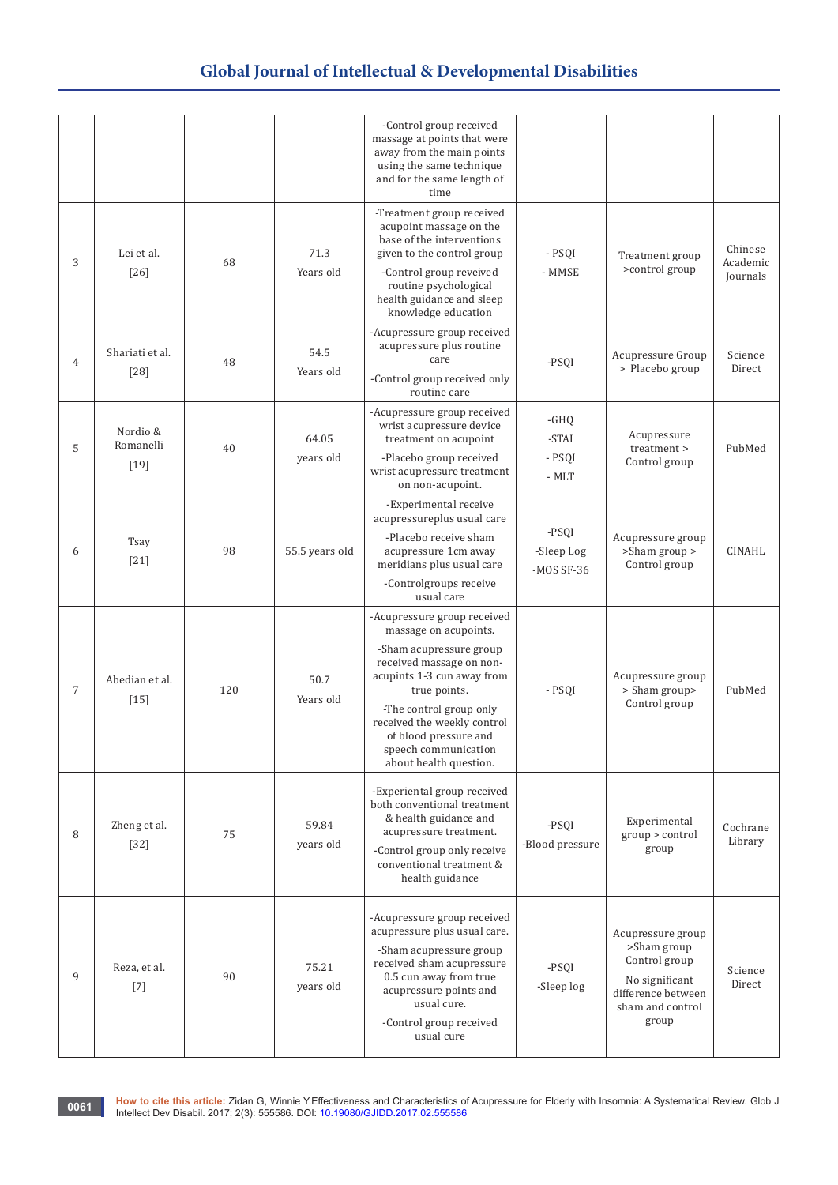# **Global Journal of Intellectual & Developmental Disabilities**

|                |                                 |                          |                    | -Control group received<br>massage at points that were<br>away from the main points<br>using the same technique<br>and for the same length of<br>time                                                                                                                                          |                                   |                                                                                                                        |                                 |
|----------------|---------------------------------|--------------------------|--------------------|------------------------------------------------------------------------------------------------------------------------------------------------------------------------------------------------------------------------------------------------------------------------------------------------|-----------------------------------|------------------------------------------------------------------------------------------------------------------------|---------------------------------|
| 3              | Lei et al.<br>$[26]$            | 68                       | 71.3<br>Years old  | -Treatment group received<br>acupoint massage on the<br>base of the interventions<br>given to the control group<br>-Control group reveived<br>routine psychological<br>health guidance and sleep<br>knowledge education                                                                        | - PSQI<br>- MMSE                  | Treatment group<br>>control group                                                                                      | Chinese<br>Academic<br>Journals |
| 4              | Shariati et al.<br>$[28]$       | 48                       | 54.5<br>Years old  | -Acupressure group received<br>acupressure plus routine<br>care<br>-Control group received only<br>routine care                                                                                                                                                                                | -PSQI                             | Acupressure Group<br>> Placebo group                                                                                   | Science<br>Direct               |
| 5              | Nordio &<br>Romanelli<br>$[19]$ | 64.05<br>40<br>years old |                    | -Acupressure group received<br>wrist acupressure device<br>treatment on acupoint<br>-Placebo group received<br>wrist acupressure treatment<br>on non-acupoint.                                                                                                                                 | -GHQ<br>-STAI<br>- PSQI<br>- MLT  | Acupressure<br>treatment ><br>Control group                                                                            | PubMed                          |
| 6              | <b>Tsay</b><br>$[21]$           | 98                       | 55.5 years old     | -Experimental receive<br>acupressureplus usual care<br>-Placebo receive sham<br>acupressure 1cm away<br>meridians plus usual care<br>-Controlgroups receive<br>usual care                                                                                                                      | -PSQI<br>-Sleep Log<br>-MOS SF-36 | Acupressure group<br>>Sham group ><br>Control group                                                                    | CINAHL                          |
| $\overline{7}$ | Abedian et al.<br>$[15]$        | 120                      | 50.7<br>Years old  | -Acupressure group received<br>massage on acupoints.<br>-Sham acupressure group<br>received massage on non-<br>acupints 1-3 cun away from<br>true points.<br>-The control group only<br>received the weekly control<br>of blood pressure and<br>speech communication<br>about health question. | - PSQI                            | Acupressure group<br>> Sham group><br>Control group                                                                    | PubMed                          |
| 8              | Zheng et al.<br>75<br>$[32]$    |                          | 59.84<br>years old | -Experiental group received<br>both conventional treatment<br>& health guidance and<br>acupressure treatment.<br>-Control group only receive<br>conventional treatment &<br>health guidance                                                                                                    | -PSQI<br>-Blood pressure          | Experimental<br>group > control<br>group                                                                               | Cochrane<br>Library             |
| 9              | Reza, et al.<br>$[7]$           | 75.21<br>90<br>years old |                    | -Acupressure group received<br>acupressure plus usual care.<br>-Sham acupressure group<br>received sham acupressure<br>0.5 cun away from true<br>acupressure points and<br>usual cure.<br>-Control group received<br>usual cure                                                                | -PSQI<br>-Sleep log               | Acupressure group<br>>Sham group<br>Control group<br>No significant<br>difference between<br>sham and control<br>group | Science<br>Direct               |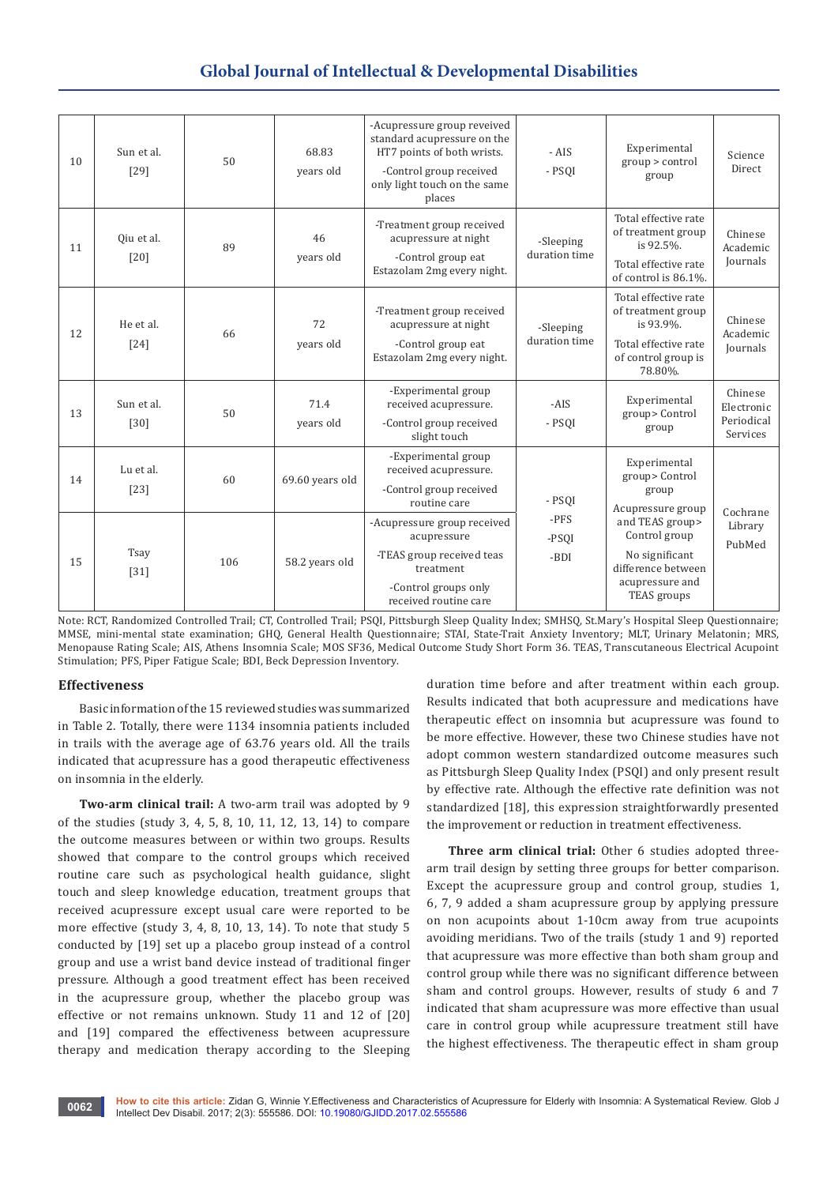# **Global Journal of Intellectual & Developmental Disabilities**

| 10 | Sun et al.<br>$[29]$ | 50  | 68.83<br>vears old                                                                                                       | -Acupressure group reveived<br>standard acupressure on the<br>HT7 points of both wrists.<br>-Control group received<br>only light touch on the same<br>places | - AIS<br>- PSQI            | Experimental<br>group > control<br>group                                                                          | Science<br>Direct                               |
|----|----------------------|-----|--------------------------------------------------------------------------------------------------------------------------|---------------------------------------------------------------------------------------------------------------------------------------------------------------|----------------------------|-------------------------------------------------------------------------------------------------------------------|-------------------------------------------------|
| 11 | Oiu et al.<br>[20]   | 89  | 46<br>vears old                                                                                                          | -Treatment group received<br>acupressure at night<br>-Control group eat<br>Estazolam 2mg every night.                                                         | -Sleeping<br>duration time | Total effective rate<br>of treatment group<br>is 92.5%.<br>Total effective rate<br>of control is 86.1%.           | Chinese<br>Academic<br>Journals                 |
| 12 | He et al.<br>$[24]$  | 66  | -Treatment group received<br>72<br>acupressure at night<br>-Control group eat<br>years old<br>Estazolam 2mg every night. |                                                                                                                                                               | -Sleeping<br>duration time | Total effective rate<br>of treatment group<br>is 93.9%.<br>Total effective rate<br>of control group is<br>78.80%. | Chinese<br>Academic<br>Journals                 |
| 13 | Sun et al.<br>$[30]$ | 50  | 71.4<br>years old                                                                                                        | -Experimental group<br>received acupressure.<br>-Control group received<br>slight touch                                                                       | $-AIS$<br>- PSOI           | Experimental<br>group> Control<br>group                                                                           | Chinese<br>Electronic<br>Periodical<br>Services |
| 14 | Lu et al.<br>$[23]$  | 60  | 69.60 years old                                                                                                          | -Experimental group<br>received acupressure.<br>-Control group received<br>routine care                                                                       | - PSOI                     | Experimental<br>group> Control<br>group<br>Acupressure group                                                      |                                                 |
| 15 | Tsay<br>$[31]$       | 106 | 58.2 years old                                                                                                           | -Acupressure group received<br>acupressure<br>-TEAS group received teas<br>treatment<br>-Control groups only<br>received routine care                         | -PFS<br>-PSOI<br>-BDI      | and TEAS group><br>Control group<br>No significant<br>difference between<br>acupressure and<br>TEAS groups        | Cochrane<br>Library<br>PubMed                   |

Note: RCT, Randomized Controlled Trail; CT, Controlled Trail; PSQI, Pittsburgh Sleep Quality Index; SMHSQ, St.Mary's Hospital Sleep Questionnaire; MMSE, mini-mental state examination; GHQ, General Health Questionnaire; STAI, State-Trait Anxiety Inventory; MLT, Urinary Melatonin; MRS, Menopause Rating Scale; AIS, Athens Insomnia Scale; MOS SF36, Medical Outcome Study Short Form 36. TEAS, Transcutaneous Electrical Acupoint Stimulation; PFS, Piper Fatigue Scale; BDI, Beck Depression Inventory.

### **Effectiveness**

Basic information of the 15 reviewed studies was summarized in Table 2. Totally, there were 1134 insomnia patients included in trails with the average age of 63.76 years old. All the trails indicated that acupressure has a good therapeutic effectiveness on insomnia in the elderly.

**Two-arm clinical trail:** A two-arm trail was adopted by 9 of the studies (study 3, 4, 5, 8, 10, 11, 12, 13, 14) to compare the outcome measures between or within two groups. Results showed that compare to the control groups which received routine care such as psychological health guidance, slight touch and sleep knowledge education, treatment groups that received acupressure except usual care were reported to be more effective (study 3, 4, 8, 10, 13, 14). To note that study 5 conducted by [19] set up a placebo group instead of a control group and use a wrist band device instead of traditional finger pressure. Although a good treatment effect has been received in the acupressure group, whether the placebo group was effective or not remains unknown. Study 11 and 12 of [20] and [19] compared the effectiveness between acupressure therapy and medication therapy according to the Sleeping

duration time before and after treatment within each group. Results indicated that both acupressure and medications have therapeutic effect on insomnia but acupressure was found to be more effective. However, these two Chinese studies have not adopt common western standardized outcome measures such as Pittsburgh Sleep Quality Index (PSQI) and only present result by effective rate. Although the effective rate definition was not standardized [18], this expression straightforwardly presented the improvement or reduction in treatment effectiveness.

**Three arm clinical trial:** Other 6 studies adopted threearm trail design by setting three groups for better comparison. Except the acupressure group and control group, studies 1, 6, 7, 9 added a sham acupressure group by applying pressure on non acupoints about 1-10cm away from true acupoints avoiding meridians. Two of the trails (study 1 and 9) reported that acupressure was more effective than both sham group and control group while there was no significant difference between sham and control groups. However, results of study 6 and 7 indicated that sham acupressure was more effective than usual care in control group while acupressure treatment still have the highest effectiveness. The therapeutic effect in sham group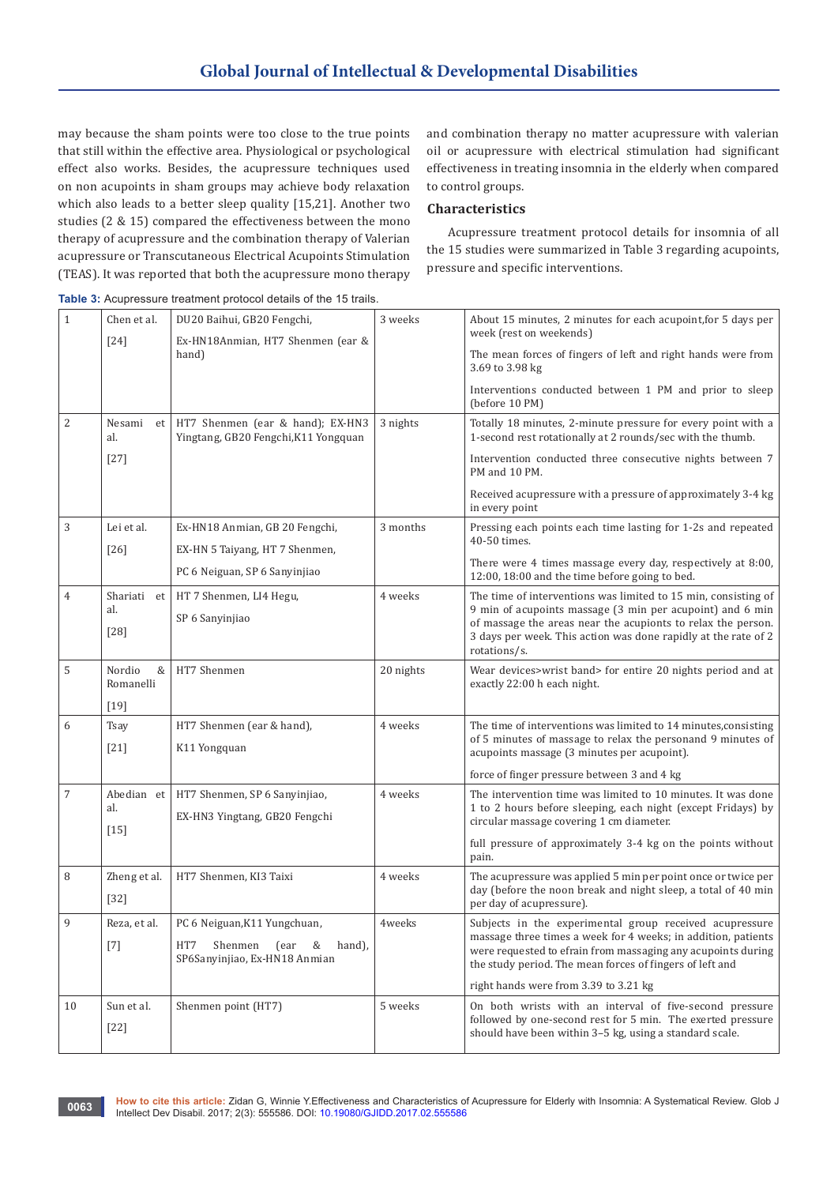may because the sham points were too close to the true points that still within the effective area. Physiological or psychological effect also works. Besides, the acupressure techniques used on non acupoints in sham groups may achieve body relaxation which also leads to a better sleep quality [15,21]. Another two studies (2 & 15) compared the effectiveness between the mono therapy of acupressure and the combination therapy of Valerian acupressure or Transcutaneous Electrical Acupoints Stimulation (TEAS). It was reported that both the acupressure mono therapy and combination therapy no matter acupressure with valerian oil or acupressure with electrical stimulation had significant effectiveness in treating insomnia in the elderly when compared to control groups.

# **Characteristics**

Acupressure treatment protocol details for insomnia of all the 15 studies were summarized in Table 3 regarding acupoints, pressure and specific interventions.

| $\mathbf{1}$   | Chen et al.                        | DU20 Baihui, GB20 Fengchi,                                                                             | 3 weeks   | About 15 minutes, 2 minutes for each acupoint, for 5 days per<br>week (rest on weekends)                                                                                                                                                                                      |
|----------------|------------------------------------|--------------------------------------------------------------------------------------------------------|-----------|-------------------------------------------------------------------------------------------------------------------------------------------------------------------------------------------------------------------------------------------------------------------------------|
|                | $[24]$                             | Ex-HN18Anmian, HT7 Shenmen (ear &<br>hand)                                                             |           | The mean forces of fingers of left and right hands were from<br>3.69 to 3.98 kg                                                                                                                                                                                               |
|                |                                    |                                                                                                        |           | Interventions conducted between 1 PM and prior to sleep<br>(before 10 PM)                                                                                                                                                                                                     |
| 2              | Nesami<br>et  <br>al.              | HT7 Shenmen (ear & hand); EX-HN3<br>Yingtang, GB20 Fengchi, K11 Yongquan                               | 3 nights  | Totally 18 minutes, 2-minute pressure for every point with a<br>1-second rest rotationally at 2 rounds/sec with the thumb.                                                                                                                                                    |
|                | $[27]$                             |                                                                                                        |           | Intervention conducted three consecutive nights between 7<br>PM and 10 PM.                                                                                                                                                                                                    |
|                |                                    |                                                                                                        |           | Received acupressure with a pressure of approximately 3-4 kg<br>in every point                                                                                                                                                                                                |
| 3              | Lei et al.<br>[26]                 | Ex-HN18 Anmian, GB 20 Fengchi,<br>EX-HN 5 Taiyang, HT 7 Shenmen,                                       | 3 months  | Pressing each points each time lasting for 1-2s and repeated<br>40-50 times.                                                                                                                                                                                                  |
|                |                                    | PC 6 Neiguan, SP 6 Sanyinjiao                                                                          |           | There were 4 times massage every day, respectively at 8:00,<br>12:00, 18:00 and the time before going to bed.                                                                                                                                                                 |
| $\overline{4}$ | Shariati et<br>al.<br>$[28]$       | HT 7 Shenmen, LI4 Hegu,<br>SP 6 Sanyinjiao                                                             | 4 weeks   | The time of interventions was limited to 15 min, consisting of<br>9 min of acupoints massage (3 min per acupoint) and 6 min<br>of massage the areas near the acupionts to relax the person.<br>3 days per week. This action was done rapidly at the rate of 2<br>rotations/s. |
| 5              | &<br>Nordio<br>Romanelli<br>$[19]$ | HT7 Shenmen                                                                                            | 20 nights | Wear devices>wrist band> for entire 20 nights period and at<br>exactly 22:00 h each night.                                                                                                                                                                                    |
| 6              | Tsay<br>$[21]$                     | HT7 Shenmen (ear & hand),<br>K11 Yongquan                                                              | 4 weeks   | The time of interventions was limited to 14 minutes, consisting<br>of 5 minutes of massage to relax the personand 9 minutes of<br>acupoints massage (3 minutes per acupoint).                                                                                                 |
|                |                                    |                                                                                                        |           | force of finger pressure between 3 and 4 kg                                                                                                                                                                                                                                   |
| $\overline{7}$ | Abedian et<br>al.<br>$[15]$        | HT7 Shenmen, SP 6 Sanyinjiao,<br>EX-HN3 Yingtang, GB20 Fengchi                                         | 4 weeks   | The intervention time was limited to 10 minutes. It was done<br>1 to 2 hours before sleeping, each night (except Fridays) by<br>circular massage covering 1 cm diameter.                                                                                                      |
|                |                                    |                                                                                                        |           | full pressure of approximately 3-4 kg on the points without<br>pain.                                                                                                                                                                                                          |
| 8              | Zheng et al.<br>$[32]$             | HT7 Shenmen, KI3 Taixi                                                                                 | 4 weeks   | The acupressure was applied 5 min per point once or twice per<br>day (before the noon break and night sleep, a total of 40 min<br>per day of acupressure).                                                                                                                    |
| 9              | Reza, et al.<br>$[7]$              | PC 6 Neiguan, K11 Yungchuan,<br>Shenmen<br>(ear<br>&<br>hand),<br>HT7<br>SP6Sanyinjiao, Ex-HN18 Anmian | 4weeks    | Subjects in the experimental group received acupressure<br>massage three times a week for 4 weeks; in addition, patients<br>were requested to efrain from massaging any acupoints during<br>the study period. The mean forces of fingers of left and                          |
|                |                                    |                                                                                                        |           | right hands were from 3.39 to 3.21 kg                                                                                                                                                                                                                                         |
| 10             | Sun et al.<br>$[22]$               | Shenmen point (HT7)                                                                                    | 5 weeks   | On both wrists with an interval of five-second pressure<br>followed by one-second rest for 5 min. The exerted pressure<br>should have been within 3-5 kg, using a standard scale.                                                                                             |

**Table 3:** Acupressure treatment protocol details of the 15 trails.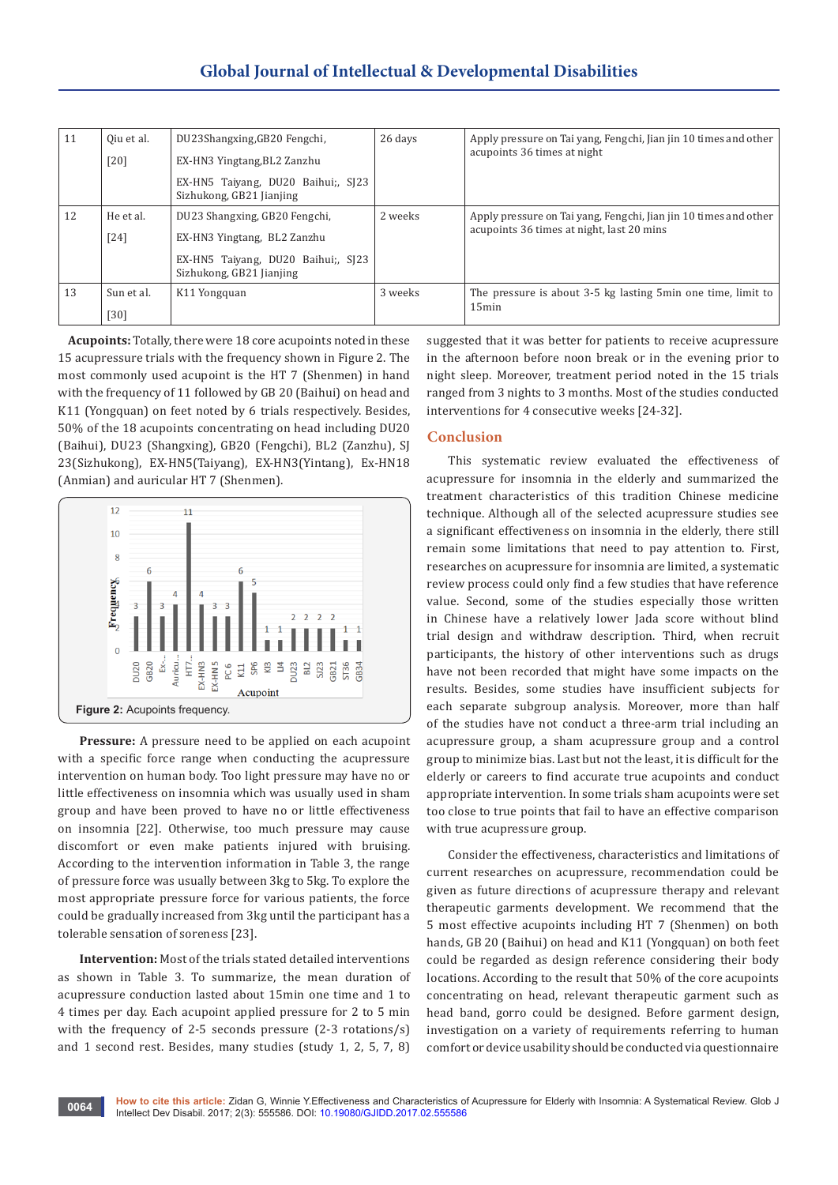# **Global Journal of Intellectual & Developmental Disabilities**

| 11 | Qiu et al.<br>[20]   | DU23Shangxing, GB20 Fengchi,<br>EX-HN3 Yingtang, BL2 Zanzhu<br>EX-HN5 Taiyang, DU20 Baihui;, SJ23<br>Sizhukong, GB21 Jianjing  | 26 days | Apply pressure on Tai yang, Fengchi, Jian jin 10 times and other<br>acupoints 36 times at night               |
|----|----------------------|--------------------------------------------------------------------------------------------------------------------------------|---------|---------------------------------------------------------------------------------------------------------------|
| 12 | He et al.<br>$[24]$  | DU23 Shangxing, GB20 Fengchi,<br>EX-HN3 Yingtang, BL2 Zanzhu<br>EX-HN5 Taiyang, DU20 Baihui;, SJ23<br>Sizhukong, GB21 Jianjing | 2 weeks | Apply pressure on Tai yang, Fengchi, Jian jin 10 times and other<br>acupoints 36 times at night, last 20 mins |
| 13 | Sun et al.<br>$[30]$ | K11 Yongquan                                                                                                                   | 3 weeks | The pressure is about 3-5 kg lasting 5min one time, limit to<br>15min                                         |

 **Acupoints:** Totally, there were 18 core acupoints noted in these 15 acupressure trials with the frequency shown in Figure 2. The most commonly used acupoint is the HT 7 (Shenmen) in hand with the frequency of 11 followed by GB 20 (Baihui) on head and K11 (Yongquan) on feet noted by 6 trials respectively. Besides, 50% of the 18 acupoints concentrating on head including DU20 (Baihui), DU23 (Shangxing), GB20 (Fengchi), BL2 (Zanzhu), SJ 23(Sizhukong), EX-HN5(Taiyang), EX-HN3(Yintang), Ex-HN18 (Anmian) and auricular HT 7 (Shenmen).



**Pressure:** A pressure need to be applied on each acupoint with a specific force range when conducting the acupressure intervention on human body. Too light pressure may have no or little effectiveness on insomnia which was usually used in sham group and have been proved to have no or little effectiveness on insomnia [22]. Otherwise, too much pressure may cause discomfort or even make patients injured with bruising. According to the intervention information in Table 3, the range of pressure force was usually between 3kg to 5kg. To explore the most appropriate pressure force for various patients, the force could be gradually increased from 3kg until the participant has a tolerable sensation of soreness [23].

**Intervention:** Most of the trials stated detailed interventions as shown in Table 3. To summarize, the mean duration of acupressure conduction lasted about 15min one time and 1 to 4 times per day. Each acupoint applied pressure for 2 to 5 min with the frequency of 2-5 seconds pressure (2-3 rotations/s) and 1 second rest. Besides, many studies (study 1, 2, 5, 7, 8)

suggested that it was better for patients to receive acupressure in the afternoon before noon break or in the evening prior to night sleep. Moreover, treatment period noted in the 15 trials ranged from 3 nights to 3 months. Most of the studies conducted interventions for 4 consecutive weeks [24-32].

# **Conclusion**

This systematic review evaluated the effectiveness of acupressure for insomnia in the elderly and summarized the treatment characteristics of this tradition Chinese medicine technique. Although all of the selected acupressure studies see a significant effectiveness on insomnia in the elderly, there still remain some limitations that need to pay attention to. First, researches on acupressure for insomnia are limited, a systematic review process could only find a few studies that have reference value. Second, some of the studies especially those written in Chinese have a relatively lower Jada score without blind trial design and withdraw description. Third, when recruit participants, the history of other interventions such as drugs have not been recorded that might have some impacts on the results. Besides, some studies have insufficient subjects for each separate subgroup analysis. Moreover, more than half of the studies have not conduct a three-arm trial including an acupressure group, a sham acupressure group and a control group to minimize bias. Last but not the least, it is difficult for the elderly or careers to find accurate true acupoints and conduct appropriate intervention. In some trials sham acupoints were set too close to true points that fail to have an effective comparison with true acupressure group.

Consider the effectiveness, characteristics and limitations of current researches on acupressure, recommendation could be given as future directions of acupressure therapy and relevant therapeutic garments development. We recommend that the 5 most effective acupoints including HT 7 (Shenmen) on both hands, GB 20 (Baihui) on head and K11 (Yongquan) on both feet could be regarded as design reference considering their body locations. According to the result that 50% of the core acupoints concentrating on head, relevant therapeutic garment such as head band, gorro could be designed. Before garment design, investigation on a variety of requirements referring to human comfort or device usability should be conducted via questionnaire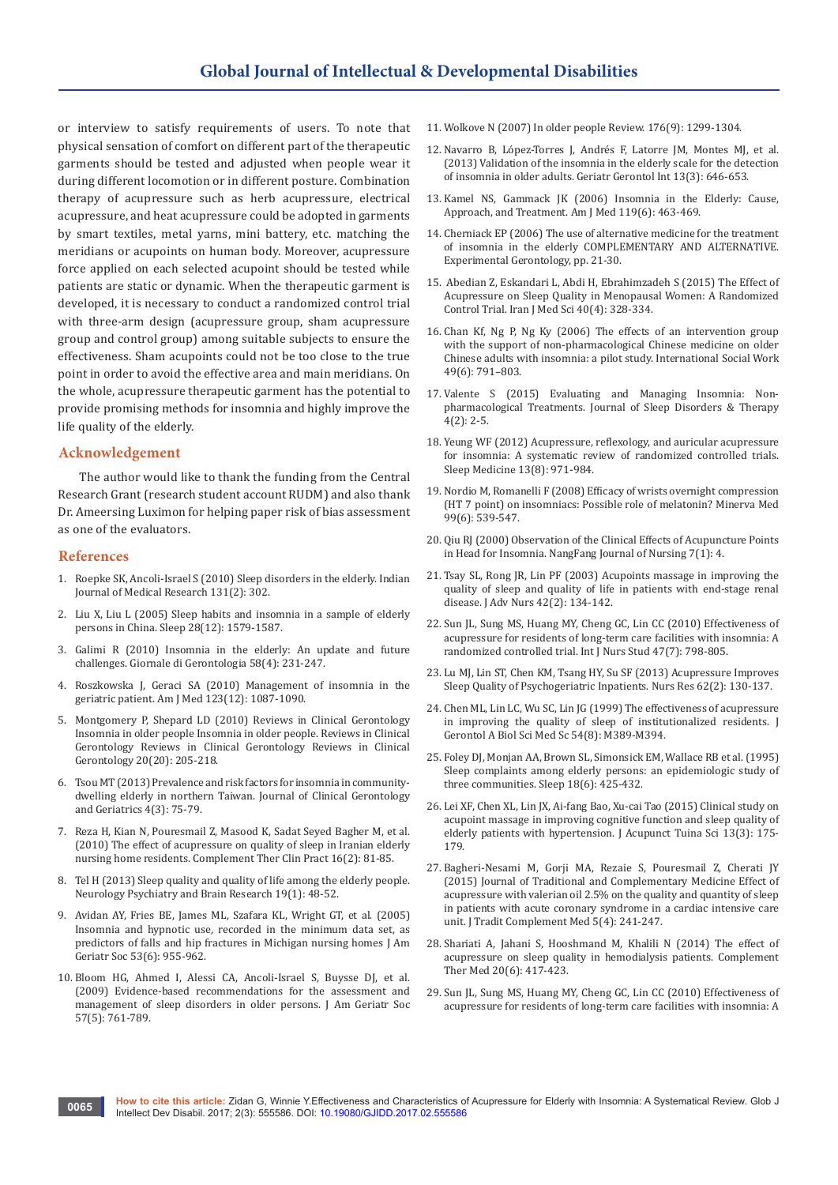or interview to satisfy requirements of users. To note that physical sensation of comfort on different part of the therapeutic garments should be tested and adjusted when people wear it during different locomotion or in different posture. Combination therapy of acupressure such as herb acupressure, electrical acupressure, and heat acupressure could be adopted in garments by smart textiles, metal yarns, mini battery, etc. matching the meridians or acupoints on human body. Moreover, acupressure force applied on each selected acupoint should be tested while patients are static or dynamic. When the therapeutic garment is developed, it is necessary to conduct a randomized control trial with three-arm design (acupressure group, sham acupressure group and control group) among suitable subjects to ensure the effectiveness. Sham acupoints could not be too close to the true point in order to avoid the effective area and main meridians. On the whole, acupressure therapeutic garment has the potential to provide promising methods for insomnia and highly improve the life quality of the elderly.

### **Acknowledgement**

The author would like to thank the funding from the Central Research Grant (research student account RUDM) and also thank Dr. Ameersing Luximon for helping paper risk of bias assessment as one of the evaluators.

### **References**

- 1. Roepke SK, Ancoli-Israel S (2010) Sleep disorders in the elderly. Indian Journal of Medical Research 131(2): 302.
- 2. Liu X, Liu L (2005) Sleep habits and insomnia in a sample of elderly persons in China. Sleep 28(12): 1579-1587.
- 3. Galimi R (2010) Insomnia in the elderly: An update and future challenges. Giornale di Gerontologia 58(4): 231-247.
- 4. Roszkowska J, Geraci SA (2010) Management of insomnia in the geriatric patient. Am J Med 123(12): 1087-1090.
- 5. Montgomery P, Shepard LD (2010) Reviews in Clinical Gerontology Insomnia in older people Insomnia in older people. Reviews in Clinical Gerontology Reviews in Clinical Gerontology Reviews in Clinical Gerontology 20(20): 205-218.
- 6. Tsou MT (2013) Prevalence and risk factors for insomnia in communitydwelling elderly in northern Taiwan. Journal of Clinical Gerontology and Geriatrics 4(3): 75-79.
- 7. Reza H, Kian N, Pouresmail Z, Masood K, Sadat Seyed Bagher M, et al. (2010) The effect of acupressure on quality of sleep in Iranian elderly nursing home residents. Complement Ther Clin Pract 16(2): 81-85.
- 8. Tel H (2013) Sleep quality and quality of life among the elderly people. Neurology Psychiatry and Brain Research 19(1): 48-52.
- 9. Avidan AY, Fries BE, James ML, Szafara KL, Wright GT, et al. (2005) Insomnia and hypnotic use, recorded in the minimum data set, as predictors of falls and hip fractures in Michigan nursing homes J Am Geriatr Soc 53(6): 955-962.
- 10. Bloom HG, Ahmed I, Alessi CA, Ancoli-Israel S, Buysse DJ, et al. (2009) Evidence-based recommendations for the assessment and management of sleep disorders in older persons. J Am Geriatr Soc 57(5): 761-789.
- 11. Wolkove N (2007) In older people Review. 176(9): 1299-1304.
- 12. Navarro B, López-Torres J, Andrés F, Latorre JM, Montes MJ, et al. (2013) Validation of the insomnia in the elderly scale for the detection of insomnia in older adults. Geriatr Gerontol Int 13(3): 646-653.
- 13. Kamel NS, Gammack JK (2006) Insomnia in the Elderly: Cause, Approach, and Treatment. Am J Med 119(6): 463-469.
- 14. Cherniack EP (2006) The use of alternative medicine for the treatment of insomnia in the elderly COMPLEMENTARY AND ALTERNATIVE. Experimental Gerontology, pp. 21-30.
- 15. Abedian Z, Eskandari L, Abdi H, Ebrahimzadeh S (2015) The Effect of Acupressure on Sleep Quality in Menopausal Women: A Randomized Control Trial. Iran J Med Sci 40(4): 328-334.
- 16. Chan Kf, Ng P, Ng Ky (2006) The effects of an intervention group with the support of non-pharmacological Chinese medicine on older Chinese adults with insomnia: a pilot study. International Social Work 49(6): 791–803.
- 17. Valente S (2015) Evaluating and Managing Insomnia: Nonpharmacological Treatments. Journal of Sleep Disorders & Therapy 4(2): 2-5.
- 18. Yeung WF (2012) Acupressure, reflexology, and auricular acupressure for insomnia: A systematic review of randomized controlled trials. Sleep Medicine 13(8): 971-984.
- 19. Nordio M, Romanelli F (2008) Efficacy of wrists overnight compression (HT 7 point) on insomniacs: Possible role of melatonin? Minerva Med 99(6): 539-547.
- 20. Qiu RJ (2000) Observation of the Clinical Effects of Acupuncture Points in Head for Insomnia. NangFang Journal of Nursing 7(1): 4.
- 21. Tsay SL, Rong JR, Lin PF (2003) Acupoints massage in improving the quality of sleep and quality of life in patients with end-stage renal disease. J Adv Nurs 42(2): 134-142.
- 22. Sun JL, Sung MS, Huang MY, Cheng GC, Lin CC (2010) Effectiveness of acupressure for residents of long-term care facilities with insomnia: A randomized controlled trial. Int J Nurs Stud 47(7): 798-805.
- 23. Lu MJ, Lin ST, Chen KM, Tsang HY, Su SF (2013) Acupressure Improves Sleep Quality of Psychogeriatric Inpatients. Nurs Res 62(2): 130-137.
- 24. Chen ML, Lin LC, Wu SC, Lin JG (1999) The effectiveness of acupressure in improving the quality of sleep of institutionalized residents. J Gerontol A Biol Sci Med Sc 54(8): M389-M394.
- 25. Foley DJ, Monjan AA, Brown SL, Simonsick EM, Wallace RB et al. (1995) Sleep complaints among elderly persons: an epidemiologic study of three communities. Sleep 18(6): 425-432.
- 26. Lei XF, Chen XL, Lin JX, Ai-fang Bao, Xu-cai Tao (2015) Clinical study on acupoint massage in improving cognitive function and sleep quality of elderly patients with hypertension. J Acupunct Tuina Sci 13(3): 175- 179.
- 27. Bagheri-Nesami M, Gorji MA, Rezaie S, Pouresmail Z, Cherati JY (2015) Journal of Traditional and Complementary Medicine Effect of acupressure with valerian oil 2.5% on the quality and quantity of sleep in patients with acute coronary syndrome in a cardiac intensive care unit. J Tradit Complement Med 5(4): 241-247.
- 28. Shariati A, Jahani S, Hooshmand M, Khalili N (2014) The effect of acupressure on sleep quality in hemodialysis patients. Complement Ther Med 20(6): 417-423.
- 29. Sun JL, Sung MS, Huang MY, Cheng GC, Lin CC (2010) Effectiveness of acupressure for residents of long-term care facilities with insomnia: A